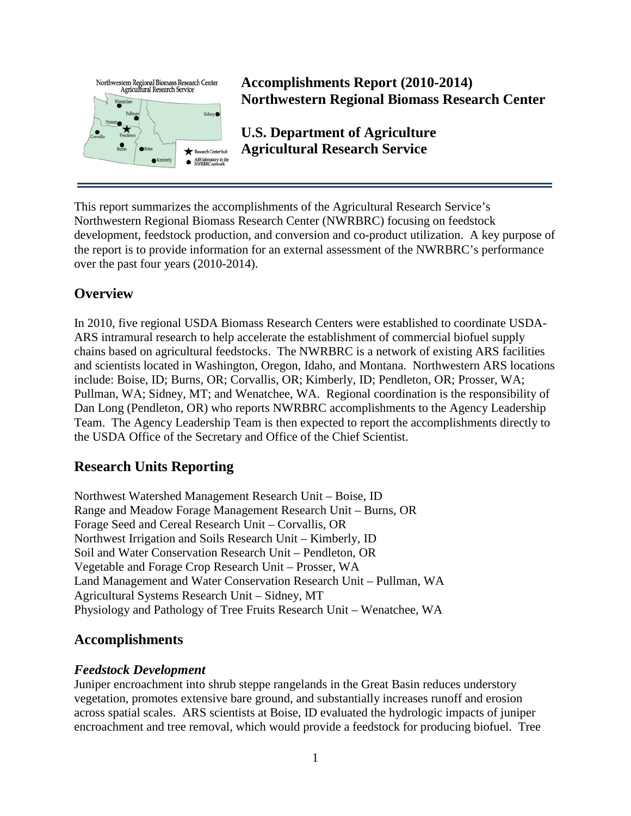

**Accomplishments Report (2010-2014) Northwestern Regional Biomass Research Center**

**U.S. Department of Agriculture Agricultural Research Service**

This report summarizes the accomplishments of the Agricultural Research Service's Northwestern Regional Biomass Research Center (NWRBRC) focusing on feedstock development, feedstock production, and conversion and co-product utilization. A key purpose of the report is to provide information for an external assessment of the NWRBRC's performance over the past four years (2010-2014).

# **Overview**

In 2010, five regional USDA Biomass Research Centers were established to coordinate USDA-ARS intramural research to help accelerate the establishment of commercial biofuel supply chains based on agricultural feedstocks. The NWRBRC is a network of existing ARS facilities and scientists located in Washington, Oregon, Idaho, and Montana. Northwestern ARS locations include: Boise, ID; Burns, OR; Corvallis, OR; Kimberly, ID; Pendleton, OR; Prosser, WA; Pullman, WA; Sidney, MT; and Wenatchee, WA. Regional coordination is the responsibility of Dan Long (Pendleton, OR) who reports NWRBRC accomplishments to the Agency Leadership Team. The Agency Leadership Team is then expected to report the accomplishments directly to the USDA Office of the Secretary and Office of the Chief Scientist.

# **Research Units Reporting**

Northwest Watershed Management Research Unit – Boise, ID Range and Meadow Forage Management Research Unit – Burns, OR Forage Seed and Cereal Research Unit – Corvallis, OR Northwest Irrigation and Soils Research Unit – Kimberly, ID Soil and Water Conservation Research Unit – Pendleton, OR Vegetable and Forage Crop Research Unit – Prosser, WA Land Management and Water Conservation Research Unit – Pullman, WA Agricultural Systems Research Unit – Sidney, MT Physiology and Pathology of Tree Fruits Research Unit – Wenatchee, WA

## **Accomplishments**

### *Feedstock Development*

Juniper encroachment into shrub steppe rangelands in the Great Basin reduces understory vegetation, promotes extensive bare ground, and substantially increases runoff and erosion across spatial scales. ARS scientists at Boise, ID evaluated the hydrologic impacts of juniper encroachment and tree removal, which would provide a feedstock for producing biofuel. Tree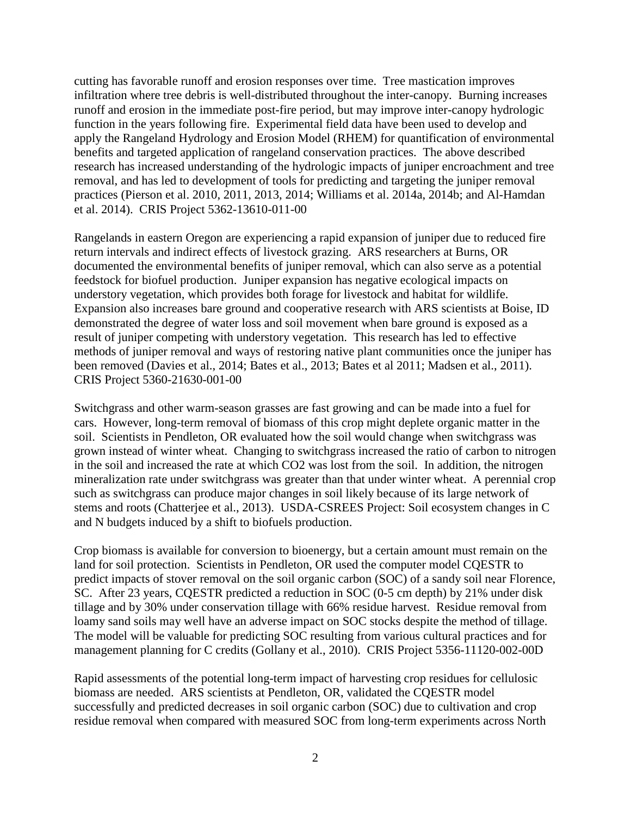cutting has favorable runoff and erosion responses over time. Tree mastication improves infiltration where tree debris is well-distributed throughout the inter-canopy. Burning increases runoff and erosion in the immediate post-fire period, but may improve inter-canopy hydrologic function in the years following fire. Experimental field data have been used to develop and apply the Rangeland Hydrology and Erosion Model (RHEM) for quantification of environmental benefits and targeted application of rangeland conservation practices. The above described research has increased understanding of the hydrologic impacts of juniper encroachment and tree removal, and has led to development of tools for predicting and targeting the juniper removal practices (Pierson et al. 2010, 2011, 2013, 2014; Williams et al. 2014a, 2014b; and Al-Hamdan et al. 2014). CRIS Project 5362-13610-011-00

Rangelands in eastern Oregon are experiencing a rapid expansion of juniper due to reduced fire return intervals and indirect effects of livestock grazing. ARS researchers at Burns, OR documented the environmental benefits of juniper removal, which can also serve as a potential feedstock for biofuel production. Juniper expansion has negative ecological impacts on understory vegetation, which provides both forage for livestock and habitat for wildlife. Expansion also increases bare ground and cooperative research with ARS scientists at Boise, ID demonstrated the degree of water loss and soil movement when bare ground is exposed as a result of juniper competing with understory vegetation. This research has led to effective methods of juniper removal and ways of restoring native plant communities once the juniper has been removed (Davies et al., 2014; Bates et al., 2013; Bates et al 2011; Madsen et al., 2011). CRIS Project 5360-21630-001-00

Switchgrass and other warm-season grasses are fast growing and can be made into a fuel for cars. However, long-term removal of biomass of this crop might deplete organic matter in the soil. Scientists in Pendleton, OR evaluated how the soil would change when switchgrass was grown instead of winter wheat. Changing to switchgrass increased the ratio of carbon to nitrogen in the soil and increased the rate at which CO2 was lost from the soil. In addition, the nitrogen mineralization rate under switchgrass was greater than that under winter wheat. A perennial crop such as switchgrass can produce major changes in soil likely because of its large network of stems and roots (Chatterjee et al., 2013). USDA-CSREES Project: Soil ecosystem changes in C and N budgets induced by a shift to biofuels production.

Crop biomass is available for conversion to bioenergy, but a certain amount must remain on the land for soil protection. Scientists in Pendleton, OR used the computer model CQESTR to predict impacts of stover removal on the soil organic carbon (SOC) of a sandy soil near Florence, SC. After 23 years, CQESTR predicted a reduction in SOC (0-5 cm depth) by 21% under disk tillage and by 30% under conservation tillage with 66% residue harvest. Residue removal from loamy sand soils may well have an adverse impact on SOC stocks despite the method of tillage. The model will be valuable for predicting SOC resulting from various cultural practices and for management planning for C credits (Gollany et al., 2010). CRIS Project 5356-11120-002-00D

Rapid assessments of the potential long-term impact of harvesting crop residues for cellulosic biomass are needed. ARS scientists at Pendleton, OR, validated the CQESTR model successfully and predicted decreases in soil organic carbon (SOC) due to cultivation and crop residue removal when compared with measured SOC from long-term experiments across North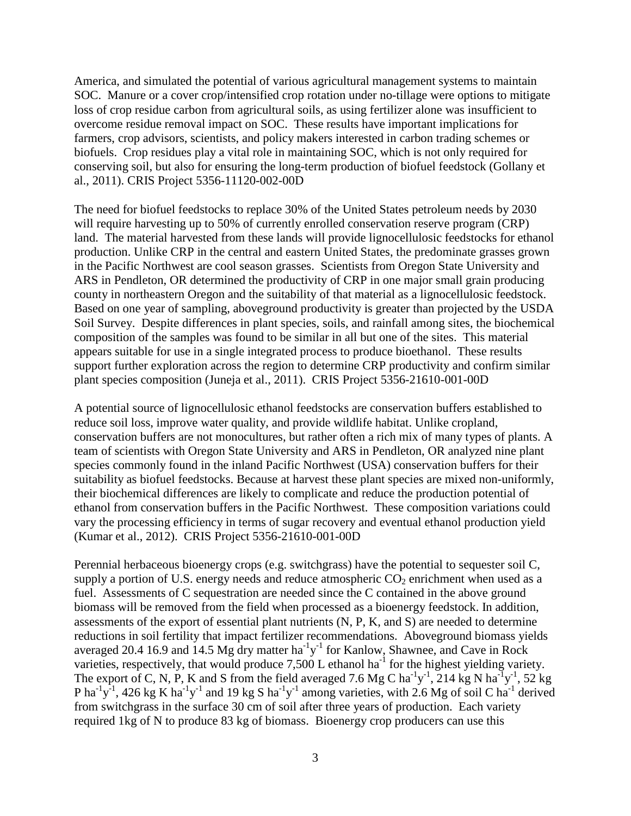America, and simulated the potential of various agricultural management systems to maintain SOC. Manure or a cover crop/intensified crop rotation under no-tillage were options to mitigate loss of crop residue carbon from agricultural soils, as using fertilizer alone was insufficient to overcome residue removal impact on SOC. These results have important implications for farmers, crop advisors, scientists, and policy makers interested in carbon trading schemes or biofuels. Crop residues play a vital role in maintaining SOC, which is not only required for conserving soil, but also for ensuring the long-term production of biofuel feedstock (Gollany et al., 2011). CRIS Project 5356-11120-002-00D

The need for biofuel feedstocks to replace 30% of the United States petroleum needs by 2030 will require harvesting up to 50% of currently enrolled conservation reserve program (CRP) land. The material harvested from these lands will provide lignocellulosic feedstocks for ethanol production. Unlike CRP in the central and eastern United States, the predominate grasses grown in the Pacific Northwest are cool season grasses. Scientists from Oregon State University and ARS in Pendleton, OR determined the productivity of CRP in one major small grain producing county in northeastern Oregon and the suitability of that material as a lignocellulosic feedstock. Based on one year of sampling, aboveground productivity is greater than projected by the USDA Soil Survey. Despite differences in plant species, soils, and rainfall among sites, the biochemical composition of the samples was found to be similar in all but one of the sites. This material appears suitable for use in a single integrated process to produce bioethanol. These results support further exploration across the region to determine CRP productivity and confirm similar plant species composition (Juneja et al., 2011). CRIS Project 5356-21610-001-00D

A potential source of lignocellulosic ethanol feedstocks are conservation buffers established to reduce soil loss, improve water quality, and provide wildlife habitat. Unlike cropland, conservation buffers are not monocultures, but rather often a rich mix of many types of plants. A team of scientists with Oregon State University and ARS in Pendleton, OR analyzed nine plant species commonly found in the inland Pacific Northwest (USA) conservation buffers for their suitability as biofuel feedstocks. Because at harvest these plant species are mixed non-uniformly, their biochemical differences are likely to complicate and reduce the production potential of ethanol from conservation buffers in the Pacific Northwest. These composition variations could vary the processing efficiency in terms of sugar recovery and eventual ethanol production yield (Kumar et al., 2012). CRIS Project 5356-21610-001-00D

Perennial herbaceous bioenergy crops (e.g. switchgrass) have the potential to sequester soil C, supply a portion of U.S. energy needs and reduce atmospheric  $CO<sub>2</sub>$  enrichment when used as a fuel. Assessments of C sequestration are needed since the C contained in the above ground biomass will be removed from the field when processed as a bioenergy feedstock. In addition, assessments of the export of essential plant nutrients (N, P, K, and S) are needed to determine reductions in soil fertility that impact fertilizer recommendations. Aboveground biomass yields averaged 20.4 16.9 and 14.5 Mg dry matter  $ha^{-1}y^{-1}$  for Kanlow, Shawnee, and Cave in Rock varieties, respectively, that would produce  $7,500$  L ethanol ha<sup>-1</sup> for the highest yielding variety. The export of C, N, P, K and S from the field averaged 7.6 Mg C ha<sup>-1</sup>y<sup>-1</sup>, 214 kg N ha<sup>-1</sup>y<sup>-1</sup>, 52 kg P ha<sup>-1</sup>y<sup>-1</sup>, 426 kg K ha<sup>-1</sup>y<sup>-1</sup> and 19 kg S ha<sup>-1</sup>y<sup>-1</sup> among varieties, with 2.6 Mg of soil C ha<sup>-1</sup> derived from switchgrass in the surface 30 cm of soil after three years of production. Each variety required 1kg of N to produce 83 kg of biomass. Bioenergy crop producers can use this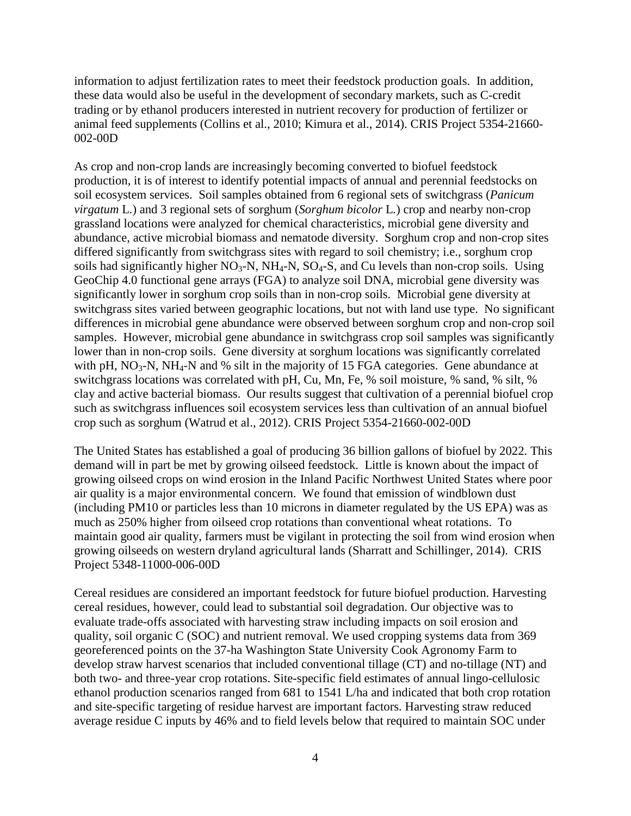information to adjust fertilization rates to meet their feedstock production goals. In addition, these data would also be useful in the development of secondary markets, such as C-credit trading or by ethanol producers interested in nutrient recovery for production of fertilizer or animal feed supplements (Collins et al., 2010; Kimura et al., 2014). CRIS Project 5354-21660- 002-00D

As crop and non-crop lands are increasingly becoming converted to biofuel feedstock production, it is of interest to identify potential impacts of annual and perennial feedstocks on soil ecosystem services. Soil samples obtained from 6 regional sets of switchgrass (*Panicum virgatum* L.) and 3 regional sets of sorghum (*Sorghum bicolor* L*.*) crop and nearby non-crop grassland locations were analyzed for chemical characteristics, microbial gene diversity and abundance, active microbial biomass and nematode diversity. Sorghum crop and non-crop sites differed significantly from switchgrass sites with regard to soil chemistry; i.e., sorghum crop soils had significantly higher  $NO<sub>3</sub>-N$ ,  $NH<sub>4</sub>-N$ ,  $SO<sub>4</sub>-S$ , and Cu levels than non-crop soils. Using GeoChip 4.0 functional gene arrays (FGA) to analyze soil DNA, microbial gene diversity was significantly lower in sorghum crop soils than in non-crop soils. Microbial gene diversity at switchgrass sites varied between geographic locations, but not with land use type. No significant differences in microbial gene abundance were observed between sorghum crop and non-crop soil samples. However, microbial gene abundance in switchgrass crop soil samples was significantly lower than in non-crop soils. Gene diversity at sorghum locations was significantly correlated with pH,  $NO<sub>3</sub>-N$ ,  $NH<sub>4</sub>-N$  and % silt in the majority of 15 FGA categories. Gene abundance at switchgrass locations was correlated with pH, Cu, Mn, Fe, % soil moisture, % sand, % silt, % clay and active bacterial biomass. Our results suggest that cultivation of a perennial biofuel crop such as switchgrass influences soil ecosystem services less than cultivation of an annual biofuel crop such as sorghum (Watrud et al., 2012). CRIS Project 5354-21660-002-00D

The United States has established a goal of producing 36 billion gallons of biofuel by 2022. This demand will in part be met by growing oilseed feedstock. Little is known about the impact of growing oilseed crops on wind erosion in the Inland Pacific Northwest United States where poor air quality is a major environmental concern. We found that emission of windblown dust (including PM10 or particles less than 10 microns in diameter regulated by the US EPA) was as much as 250% higher from oilseed crop rotations than conventional wheat rotations. To maintain good air quality, farmers must be vigilant in protecting the soil from wind erosion when growing oilseeds on western dryland agricultural lands (Sharratt and Schillinger, 2014). CRIS Project 5348-11000-006-00D

Cereal residues are considered an important feedstock for future biofuel production. Harvesting cereal residues, however, could lead to substantial soil degradation. Our objective was to evaluate trade-offs associated with harvesting straw including impacts on soil erosion and quality, soil organic C (SOC) and nutrient removal. We used cropping systems data from 369 georeferenced points on the 37-ha Washington State University Cook Agronomy Farm to develop straw harvest scenarios that included conventional tillage (CT) and no-tillage (NT) and both two- and three-year crop rotations. Site-specific field estimates of annual lingo-cellulosic ethanol production scenarios ranged from 681 to 1541 L/ha and indicated that both crop rotation and site-specific targeting of residue harvest are important factors. Harvesting straw reduced average residue C inputs by 46% and to field levels below that required to maintain SOC under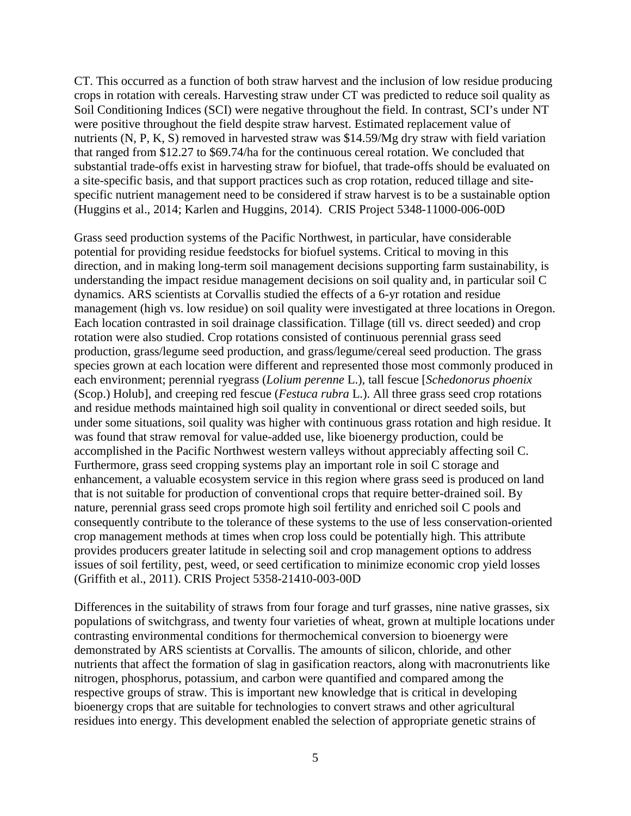CT. This occurred as a function of both straw harvest and the inclusion of low residue producing crops in rotation with cereals. Harvesting straw under CT was predicted to reduce soil quality as Soil Conditioning Indices (SCI) were negative throughout the field. In contrast, SCI's under NT were positive throughout the field despite straw harvest. Estimated replacement value of nutrients (N, P, K, S) removed in harvested straw was \$14.59/Mg dry straw with field variation that ranged from \$12.27 to \$69.74/ha for the continuous cereal rotation. We concluded that substantial trade-offs exist in harvesting straw for biofuel, that trade-offs should be evaluated on a site-specific basis, and that support practices such as crop rotation, reduced tillage and sitespecific nutrient management need to be considered if straw harvest is to be a sustainable option (Huggins et al., 2014; Karlen and Huggins, 2014). CRIS Project 5348-11000-006-00D

Grass seed production systems of the Pacific Northwest, in particular, have considerable potential for providing residue feedstocks for biofuel systems. Critical to moving in this direction, and in making long-term soil management decisions supporting farm sustainability, is understanding the impact residue management decisions on soil quality and, in particular soil C dynamics. ARS scientists at Corvallis studied the effects of a 6-yr rotation and residue management (high vs. low residue) on soil quality were investigated at three locations in Oregon. Each location contrasted in soil drainage classification. Tillage (till vs. direct seeded) and crop rotation were also studied. Crop rotations consisted of continuous perennial grass seed production, grass/legume seed production, and grass/legume/cereal seed production. The grass species grown at each location were different and represented those most commonly produced in each environment; perennial ryegrass (*Lolium perenne* L.), tall fescue [*Schedonorus phoenix* (Scop.) Holub], and creeping red fescue (*Festuca rubra* L.). All three grass seed crop rotations and residue methods maintained high soil quality in conventional or direct seeded soils, but under some situations, soil quality was higher with continuous grass rotation and high residue. It was found that straw removal for value-added use, like bioenergy production, could be accomplished in the Pacific Northwest western valleys without appreciably affecting soil C. Furthermore, grass seed cropping systems play an important role in soil C storage and enhancement, a valuable ecosystem service in this region where grass seed is produced on land that is not suitable for production of conventional crops that require better-drained soil. By nature, perennial grass seed crops promote high soil fertility and enriched soil C pools and consequently contribute to the tolerance of these systems to the use of less conservation-oriented crop management methods at times when crop loss could be potentially high. This attribute provides producers greater latitude in selecting soil and crop management options to address issues of soil fertility, pest, weed, or seed certification to minimize economic crop yield losses (Griffith et al., 2011). CRIS Project 5358-21410-003-00D

Differences in the suitability of straws from four forage and turf grasses, nine native grasses, six populations of switchgrass, and twenty four varieties of wheat, grown at multiple locations under contrasting environmental conditions for thermochemical conversion to bioenergy were demonstrated by ARS scientists at Corvallis. The amounts of silicon, chloride, and other nutrients that affect the formation of slag in gasification reactors, along with macronutrients like nitrogen, phosphorus, potassium, and carbon were quantified and compared among the respective groups of straw. This is important new knowledge that is critical in developing bioenergy crops that are suitable for technologies to convert straws and other agricultural residues into energy. This development enabled the selection of appropriate genetic strains of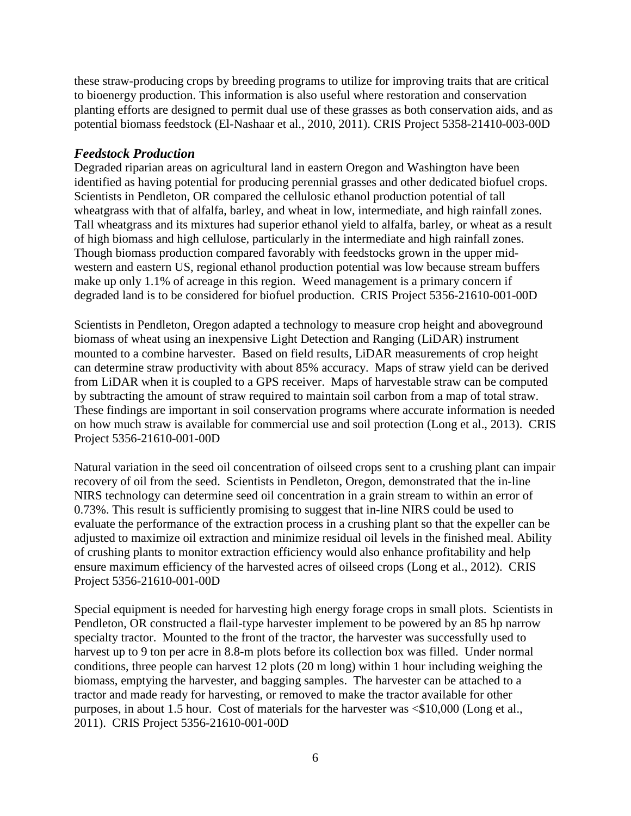these straw-producing crops by breeding programs to utilize for improving traits that are critical to bioenergy production. This information is also useful where restoration and conservation planting efforts are designed to permit dual use of these grasses as both conservation aids, and as potential biomass feedstock (El-Nashaar et al., 2010, 2011). CRIS Project 5358-21410-003-00D

### *Feedstock Production*

Degraded riparian areas on agricultural land in eastern Oregon and Washington have been identified as having potential for producing perennial grasses and other dedicated biofuel crops. Scientists in Pendleton, OR compared the cellulosic ethanol production potential of tall wheatgrass with that of alfalfa, barley, and wheat in low, intermediate, and high rainfall zones. Tall wheatgrass and its mixtures had superior ethanol yield to alfalfa, barley, or wheat as a result of high biomass and high cellulose, particularly in the intermediate and high rainfall zones. Though biomass production compared favorably with feedstocks grown in the upper midwestern and eastern US, regional ethanol production potential was low because stream buffers make up only 1.1% of acreage in this region. Weed management is a primary concern if degraded land is to be considered for biofuel production. CRIS Project 5356-21610-001-00D

Scientists in Pendleton, Oregon adapted a technology to measure crop height and aboveground biomass of wheat using an inexpensive Light Detection and Ranging (LiDAR) instrument mounted to a combine harvester. Based on field results, LiDAR measurements of crop height can determine straw productivity with about 85% accuracy. Maps of straw yield can be derived from LiDAR when it is coupled to a GPS receiver. Maps of harvestable straw can be computed by subtracting the amount of straw required to maintain soil carbon from a map of total straw. These findings are important in soil conservation programs where accurate information is needed on how much straw is available for commercial use and soil protection (Long et al., 2013). CRIS Project 5356-21610-001-00D

Natural variation in the seed oil concentration of oilseed crops sent to a crushing plant can impair recovery of oil from the seed. Scientists in Pendleton, Oregon, demonstrated that the in-line NIRS technology can determine seed oil concentration in a grain stream to within an error of 0.73%. This result is sufficiently promising to suggest that in-line NIRS could be used to evaluate the performance of the extraction process in a crushing plant so that the expeller can be adjusted to maximize oil extraction and minimize residual oil levels in the finished meal. Ability of crushing plants to monitor extraction efficiency would also enhance profitability and help ensure maximum efficiency of the harvested acres of oilseed crops (Long et al., 2012). CRIS Project 5356-21610-001-00D

Special equipment is needed for harvesting high energy forage crops in small plots. Scientists in Pendleton, OR constructed a flail-type harvester implement to be powered by an 85 hp narrow specialty tractor. Mounted to the front of the tractor, the harvester was successfully used to harvest up to 9 ton per acre in 8.8-m plots before its collection box was filled. Under normal conditions, three people can harvest 12 plots (20 m long) within 1 hour including weighing the biomass, emptying the harvester, and bagging samples. The harvester can be attached to a tractor and made ready for harvesting, or removed to make the tractor available for other purposes, in about 1.5 hour. Cost of materials for the harvester was <\$10,000 (Long et al., 2011). CRIS Project 5356-21610-001-00D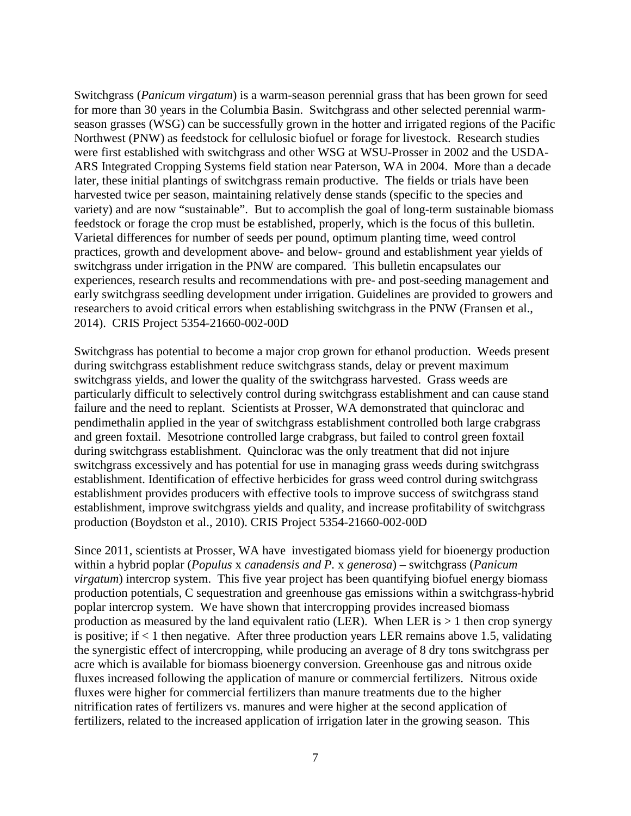Switchgrass (*Panicum virgatum*) is a warm-season perennial grass that has been grown for seed for more than 30 years in the Columbia Basin. Switchgrass and other selected perennial warmseason grasses (WSG) can be successfully grown in the hotter and irrigated regions of the Pacific Northwest (PNW) as feedstock for cellulosic biofuel or forage for livestock. Research studies were first established with switchgrass and other WSG at WSU-Prosser in 2002 and the USDA-ARS Integrated Cropping Systems field station near Paterson, WA in 2004. More than a decade later, these initial plantings of switchgrass remain productive. The fields or trials have been harvested twice per season, maintaining relatively dense stands (specific to the species and variety) and are now "sustainable". But to accomplish the goal of long-term sustainable biomass feedstock or forage the crop must be established, properly, which is the focus of this bulletin. Varietal differences for number of seeds per pound, optimum planting time, weed control practices, growth and development above- and below- ground and establishment year yields of switchgrass under irrigation in the PNW are compared. This bulletin encapsulates our experiences, research results and recommendations with pre- and post-seeding management and early switchgrass seedling development under irrigation. Guidelines are provided to growers and researchers to avoid critical errors when establishing switchgrass in the PNW (Fransen et al., 2014). CRIS Project 5354-21660-002-00D

Switchgrass has potential to become a major crop grown for ethanol production. Weeds present during switchgrass establishment reduce switchgrass stands, delay or prevent maximum switchgrass yields, and lower the quality of the switchgrass harvested. Grass weeds are particularly difficult to selectively control during switchgrass establishment and can cause stand failure and the need to replant. Scientists at Prosser, WA demonstrated that quinclorac and pendimethalin applied in the year of switchgrass establishment controlled both large crabgrass and green foxtail. Mesotrione controlled large crabgrass, but failed to control green foxtail during switchgrass establishment. Quinclorac was the only treatment that did not injure switchgrass excessively and has potential for use in managing grass weeds during switchgrass establishment. Identification of effective herbicides for grass weed control during switchgrass establishment provides producers with effective tools to improve success of switchgrass stand establishment, improve switchgrass yields and quality, and increase profitability of switchgrass production (Boydston et al., 2010). CRIS Project 5354-21660-002-00D

Since 2011, scientists at Prosser, WA have investigated biomass yield for bioenergy production within a hybrid poplar (*Populus* x *canadensis and P.* x *generosa*) – switchgrass (*Panicum virgatum*) intercrop system. This five year project has been quantifying biofuel energy biomass production potentials, C sequestration and greenhouse gas emissions within a switchgrass-hybrid poplar intercrop system. We have shown that intercropping provides increased biomass production as measured by the land equivalent ratio (LER). When LER is  $> 1$  then crop synergy is positive; if  $\lt 1$  then negative. After three production years LER remains above 1.5, validating the synergistic effect of intercropping, while producing an average of 8 dry tons switchgrass per acre which is available for biomass bioenergy conversion. Greenhouse gas and nitrous oxide fluxes increased following the application of manure or commercial fertilizers. Nitrous oxide fluxes were higher for commercial fertilizers than manure treatments due to the higher nitrification rates of fertilizers vs. manures and were higher at the second application of fertilizers, related to the increased application of irrigation later in the growing season. This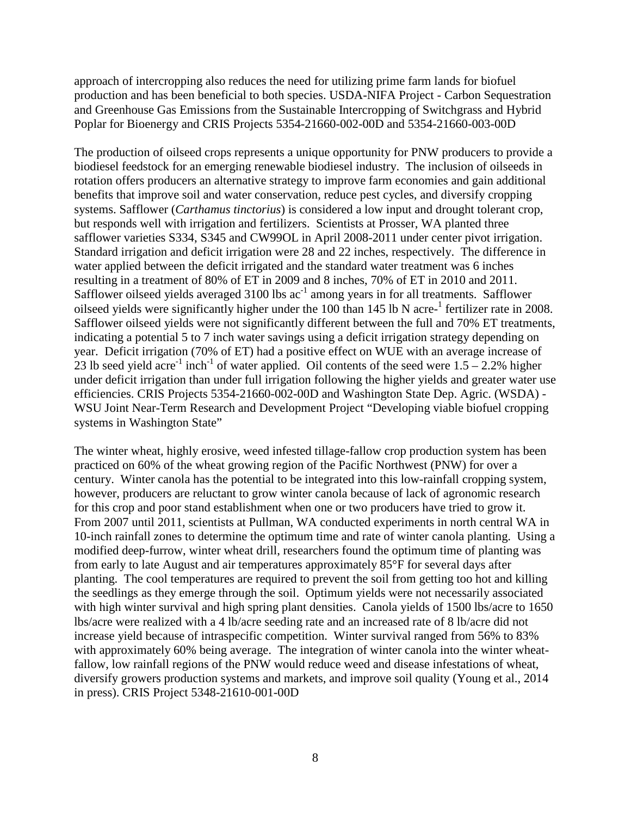approach of intercropping also reduces the need for utilizing prime farm lands for biofuel production and has been beneficial to both species. USDA-NIFA Project - Carbon Sequestration and Greenhouse Gas Emissions from the Sustainable Intercropping of Switchgrass and Hybrid Poplar for Bioenergy and CRIS Projects 5354-21660-002-00D and 5354-21660-003-00D

The production of oilseed crops represents a unique opportunity for PNW producers to provide a biodiesel feedstock for an emerging renewable biodiesel industry. The inclusion of oilseeds in rotation offers producers an alternative strategy to improve farm economies and gain additional benefits that improve soil and water conservation, reduce pest cycles, and diversify cropping systems. Safflower (*Carthamus tinctorius*) is considered a low input and drought tolerant crop, but responds well with irrigation and fertilizers. Scientists at Prosser, WA planted three safflower varieties S334, S345 and CW99OL in April 2008-2011 under center pivot irrigation. Standard irrigation and deficit irrigation were 28 and 22 inches, respectively. The difference in water applied between the deficit irrigated and the standard water treatment was 6 inches resulting in a treatment of 80% of ET in 2009 and 8 inches, 70% of ET in 2010 and 2011. Safflower oilseed yields averaged  $3100$  lbs  $ac^{-1}$  among years in for all treatments. Safflower oilseed yields were significantly higher under the 100 than 145 lb N acre-<sup>1</sup> fertilizer rate in 2008. Safflower oilseed yields were not significantly different between the full and 70% ET treatments, indicating a potential 5 to 7 inch water savings using a deficit irrigation strategy depending on year. Deficit irrigation (70% of ET) had a positive effect on WUE with an average increase of 23 lb seed yield acre<sup>-1</sup> inch<sup>-1</sup> of water applied. Oil contents of the seed were  $1.5 - 2.2\%$  higher under deficit irrigation than under full irrigation following the higher yields and greater water use efficiencies. CRIS Projects 5354-21660-002-00D and Washington State Dep. Agric. (WSDA) - WSU Joint Near-Term Research and Development Project "Developing viable biofuel cropping systems in Washington State"

The winter wheat, highly erosive, weed infested tillage-fallow crop production system has been practiced on 60% of the wheat growing region of the Pacific Northwest (PNW) for over a century. Winter canola has the potential to be integrated into this low-rainfall cropping system, however, producers are reluctant to grow winter canola because of lack of agronomic research for this crop and poor stand establishment when one or two producers have tried to grow it. From 2007 until 2011, scientists at Pullman, WA conducted experiments in north central WA in 10-inch rainfall zones to determine the optimum time and rate of winter canola planting. Using a modified deep-furrow, winter wheat drill, researchers found the optimum time of planting was from early to late August and air temperatures approximately 85°F for several days after planting. The cool temperatures are required to prevent the soil from getting too hot and killing the seedlings as they emerge through the soil. Optimum yields were not necessarily associated with high winter survival and high spring plant densities. Canola yields of 1500 lbs/acre to 1650 lbs/acre were realized with a 4 lb/acre seeding rate and an increased rate of 8 lb/acre did not increase yield because of intraspecific competition. Winter survival ranged from 56% to 83% with approximately 60% being average. The integration of winter canola into the winter wheatfallow, low rainfall regions of the PNW would reduce weed and disease infestations of wheat, diversify growers production systems and markets, and improve soil quality (Young et al., 2014 in press). CRIS Project 5348-21610-001-00D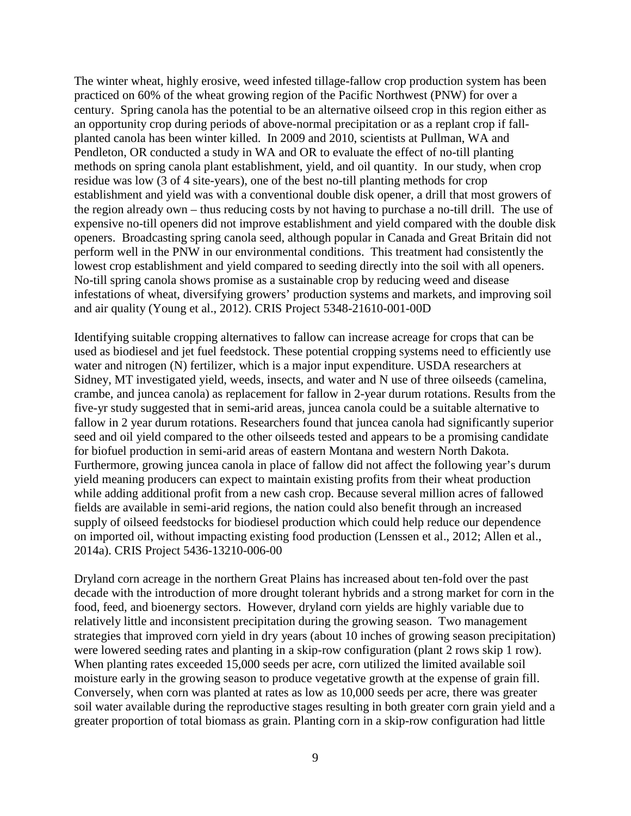The winter wheat, highly erosive, weed infested tillage-fallow crop production system has been practiced on 60% of the wheat growing region of the Pacific Northwest (PNW) for over a century. Spring canola has the potential to be an alternative oilseed crop in this region either as an opportunity crop during periods of above-normal precipitation or as a replant crop if fallplanted canola has been winter killed. In 2009 and 2010, scientists at Pullman, WA and Pendleton, OR conducted a study in WA and OR to evaluate the effect of no-till planting methods on spring canola plant establishment, yield, and oil quantity. In our study, when crop residue was low (3 of 4 site-years), one of the best no-till planting methods for crop establishment and yield was with a conventional double disk opener, a drill that most growers of the region already own – thus reducing costs by not having to purchase a no-till drill. The use of expensive no-till openers did not improve establishment and yield compared with the double disk openers. Broadcasting spring canola seed, although popular in Canada and Great Britain did not perform well in the PNW in our environmental conditions. This treatment had consistently the lowest crop establishment and yield compared to seeding directly into the soil with all openers. No-till spring canola shows promise as a sustainable crop by reducing weed and disease infestations of wheat, diversifying growers' production systems and markets, and improving soil and air quality (Young et al., 2012). CRIS Project 5348-21610-001-00D

Identifying suitable cropping alternatives to fallow can increase acreage for crops that can be used as biodiesel and jet fuel feedstock. These potential cropping systems need to efficiently use water and nitrogen (N) fertilizer, which is a major input expenditure. USDA researchers at Sidney, MT investigated yield, weeds, insects, and water and N use of three oilseeds (camelina, crambe, and juncea canola) as replacement for fallow in 2-year durum rotations. Results from the five-yr study suggested that in semi-arid areas, juncea canola could be a suitable alternative to fallow in 2 year durum rotations. Researchers found that juncea canola had significantly superior seed and oil yield compared to the other oilseeds tested and appears to be a promising candidate for biofuel production in semi-arid areas of eastern Montana and western North Dakota. Furthermore, growing juncea canola in place of fallow did not affect the following year's durum yield meaning producers can expect to maintain existing profits from their wheat production while adding additional profit from a new cash crop. Because several million acres of fallowed fields are available in semi-arid regions, the nation could also benefit through an increased supply of oilseed feedstocks for biodiesel production which could help reduce our dependence on imported oil, without impacting existing food production (Lenssen et al., 2012; Allen et al., 2014a). CRIS Project 5436-13210-006-00

Dryland corn acreage in the northern Great Plains has increased about ten-fold over the past decade with the introduction of more drought tolerant hybrids and a strong market for corn in the food, feed, and bioenergy sectors. However, dryland corn yields are highly variable due to relatively little and inconsistent precipitation during the growing season. Two management strategies that improved corn yield in dry years (about 10 inches of growing season precipitation) were lowered seeding rates and planting in a skip-row configuration (plant 2 rows skip 1 row). When planting rates exceeded 15,000 seeds per acre, corn utilized the limited available soil moisture early in the growing season to produce vegetative growth at the expense of grain fill. Conversely, when corn was planted at rates as low as 10,000 seeds per acre, there was greater soil water available during the reproductive stages resulting in both greater corn grain yield and a greater proportion of total biomass as grain. Planting corn in a skip-row configuration had little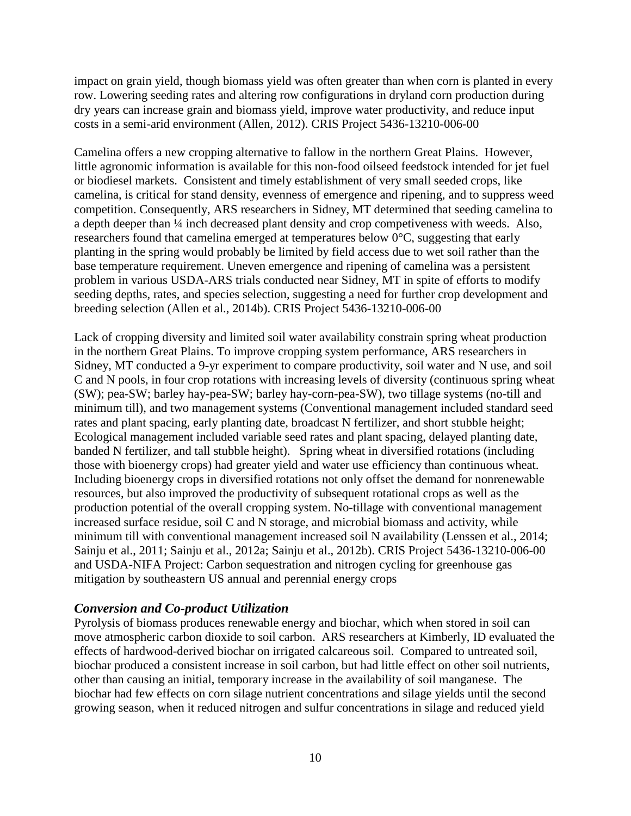impact on grain yield, though biomass yield was often greater than when corn is planted in every row. Lowering seeding rates and altering row configurations in dryland corn production during dry years can increase grain and biomass yield, improve water productivity, and reduce input costs in a semi-arid environment (Allen, 2012). CRIS Project 5436-13210-006-00

Camelina offers a new cropping alternative to fallow in the northern Great Plains. However, little agronomic information is available for this non-food oilseed feedstock intended for jet fuel or biodiesel markets. Consistent and timely establishment of very small seeded crops, like camelina, is critical for stand density, evenness of emergence and ripening, and to suppress weed competition. Consequently, ARS researchers in Sidney, MT determined that seeding camelina to a depth deeper than ¼ inch decreased plant density and crop competiveness with weeds. Also, researchers found that camelina emerged at temperatures below 0°C, suggesting that early planting in the spring would probably be limited by field access due to wet soil rather than the base temperature requirement. Uneven emergence and ripening of camelina was a persistent problem in various USDA-ARS trials conducted near Sidney, MT in spite of efforts to modify seeding depths, rates, and species selection, suggesting a need for further crop development and breeding selection (Allen et al., 2014b). CRIS Project 5436-13210-006-00

Lack of cropping diversity and limited soil water availability constrain spring wheat production in the northern Great Plains. To improve cropping system performance, ARS researchers in Sidney, MT conducted a 9-yr experiment to compare productivity, soil water and N use, and soil C and N pools, in four crop rotations with increasing levels of diversity (continuous spring wheat (SW); pea-SW; barley hay-pea-SW; barley hay-corn-pea-SW), two tillage systems (no-till and minimum till), and two management systems (Conventional management included standard seed rates and plant spacing, early planting date, broadcast N fertilizer, and short stubble height; Ecological management included variable seed rates and plant spacing, delayed planting date, banded N fertilizer, and tall stubble height). Spring wheat in diversified rotations (including those with bioenergy crops) had greater yield and water use efficiency than continuous wheat. Including bioenergy crops in diversified rotations not only offset the demand for nonrenewable resources, but also improved the productivity of subsequent rotational crops as well as the production potential of the overall cropping system. No-tillage with conventional management increased surface residue, soil C and N storage, and microbial biomass and activity, while minimum till with conventional management increased soil N availability (Lenssen et al., 2014; Sainju et al., 2011; Sainju et al., 2012a; Sainju et al., 2012b). CRIS Project 5436-13210-006-00 and USDA-NIFA Project: Carbon sequestration and nitrogen cycling for greenhouse gas mitigation by southeastern US annual and perennial energy crops

### *Conversion and Co-product Utilization*

Pyrolysis of biomass produces renewable energy and biochar, which when stored in soil can move atmospheric carbon dioxide to soil carbon. ARS researchers at Kimberly, ID evaluated the effects of hardwood-derived biochar on irrigated calcareous soil. Compared to untreated soil, biochar produced a consistent increase in soil carbon, but had little effect on other soil nutrients, other than causing an initial, temporary increase in the availability of soil manganese. The biochar had few effects on corn silage nutrient concentrations and silage yields until the second growing season, when it reduced nitrogen and sulfur concentrations in silage and reduced yield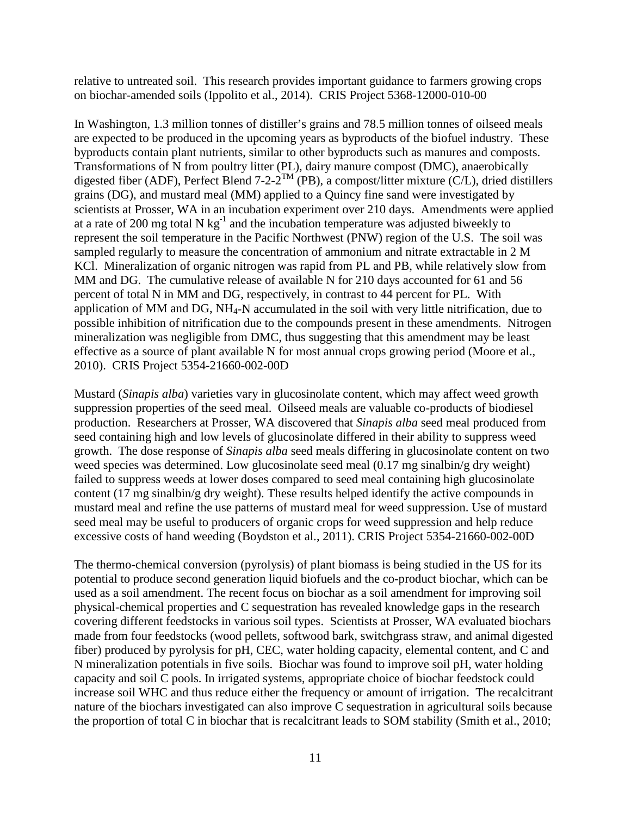relative to untreated soil. This research provides important guidance to farmers growing crops on biochar-amended soils (Ippolito et al., 2014). CRIS Project 5368-12000-010-00

In Washington, 1.3 million tonnes of distiller's grains and 78.5 million tonnes of oilseed meals are expected to be produced in the upcoming years as byproducts of the biofuel industry. These byproducts contain plant nutrients, similar to other byproducts such as manures and composts. Transformations of N from poultry litter (PL), dairy manure compost (DMC), anaerobically digested fiber (ADF), Perfect Blend 7-2-2<sup>TM</sup> (PB), a compost/litter mixture (C/L), dried distillers grains (DG), and mustard meal (MM) applied to a Quincy fine sand were investigated by scientists at Prosser, WA in an incubation experiment over 210 days. Amendments were applied at a rate of 200 mg total N  $kg^{-1}$  and the incubation temperature was adjusted biweekly to represent the soil temperature in the Pacific Northwest (PNW) region of the U.S. The soil was sampled regularly to measure the concentration of ammonium and nitrate extractable in 2 M KCl. Mineralization of organic nitrogen was rapid from PL and PB, while relatively slow from MM and DG. The cumulative release of available N for 210 days accounted for 61 and 56 percent of total N in MM and DG, respectively, in contrast to 44 percent for PL. With application of MM and DG, NH4-N accumulated in the soil with very little nitrification, due to possible inhibition of nitrification due to the compounds present in these amendments. Nitrogen mineralization was negligible from DMC, thus suggesting that this amendment may be least effective as a source of plant available N for most annual crops growing period (Moore et al., 2010). CRIS Project 5354-21660-002-00D

Mustard (*Sinapis alba*) varieties vary in glucosinolate content, which may affect weed growth suppression properties of the seed meal. Oilseed meals are valuable co-products of biodiesel production. Researchers at Prosser, WA discovered that *Sinapis alba* seed meal produced from seed containing high and low levels of glucosinolate differed in their ability to suppress weed growth. The dose response of *Sinapis alba* seed meals differing in glucosinolate content on two weed species was determined. Low glucosinolate seed meal (0.17 mg sinalbin/g dry weight) failed to suppress weeds at lower doses compared to seed meal containing high glucosinolate content (17 mg sinalbin/g dry weight). These results helped identify the active compounds in mustard meal and refine the use patterns of mustard meal for weed suppression. Use of mustard seed meal may be useful to producers of organic crops for weed suppression and help reduce excessive costs of hand weeding (Boydston et al., 2011). CRIS Project 5354-21660-002-00D

The thermo-chemical conversion (pyrolysis) of plant biomass is being studied in the US for its potential to produce second generation liquid biofuels and the co-product biochar, which can be used as a soil amendment. The recent focus on biochar as a soil amendment for improving soil physical-chemical properties and C sequestration has revealed knowledge gaps in the research covering different feedstocks in various soil types. Scientists at Prosser, WA evaluated biochars made from four feedstocks (wood pellets, softwood bark, switchgrass straw, and animal digested fiber) produced by pyrolysis for pH, CEC, water holding capacity, elemental content, and C and N mineralization potentials in five soils. Biochar was found to improve soil pH, water holding capacity and soil C pools. In irrigated systems, appropriate choice of biochar feedstock could increase soil WHC and thus reduce either the frequency or amount of irrigation. The recalcitrant nature of the biochars investigated can also improve C sequestration in agricultural soils because the proportion of total C in biochar that is recalcitrant leads to SOM stability (Smith et al., 2010;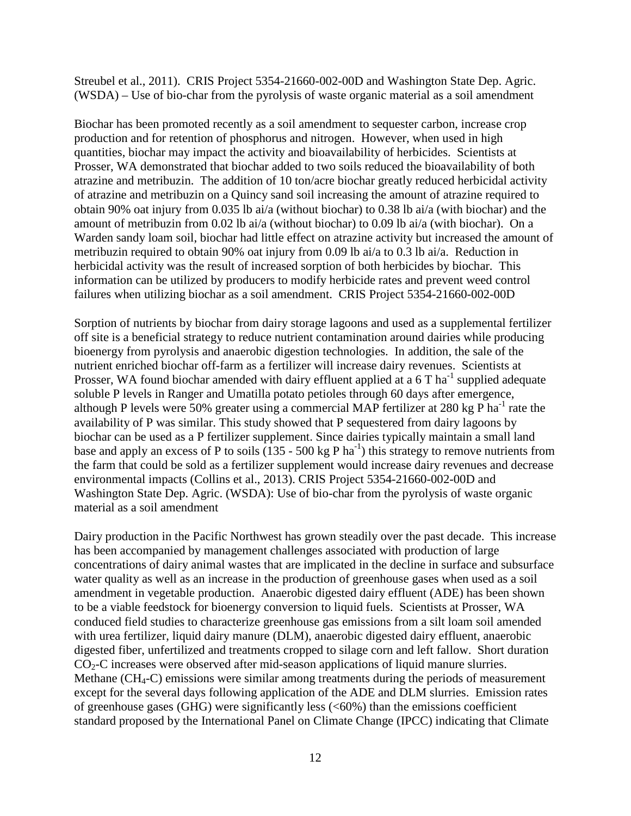Streubel et al., 2011). CRIS Project 5354-21660-002-00D and Washington State Dep. Agric. (WSDA) – Use of bio-char from the pyrolysis of waste organic material as a soil amendment

Biochar has been promoted recently as a soil amendment to sequester carbon, increase crop production and for retention of phosphorus and nitrogen. However, when used in high quantities, biochar may impact the activity and bioavailability of herbicides. Scientists at Prosser, WA demonstrated that biochar added to two soils reduced the bioavailability of both atrazine and metribuzin. The addition of 10 ton/acre biochar greatly reduced herbicidal activity of atrazine and metribuzin on a Quincy sand soil increasing the amount of atrazine required to obtain 90% oat injury from 0.035 lb ai/a (without biochar) to 0.38 lb ai/a (with biochar) and the amount of metribuzin from 0.02 lb ai/a (without biochar) to 0.09 lb ai/a (with biochar). On a Warden sandy loam soil, biochar had little effect on atrazine activity but increased the amount of metribuzin required to obtain 90% oat injury from 0.09 lb ai/a to 0.3 lb ai/a. Reduction in herbicidal activity was the result of increased sorption of both herbicides by biochar. This information can be utilized by producers to modify herbicide rates and prevent weed control failures when utilizing biochar as a soil amendment. CRIS Project 5354-21660-002-00D

Sorption of nutrients by biochar from dairy storage lagoons and used as a supplemental fertilizer off site is a beneficial strategy to reduce nutrient contamination around dairies while producing bioenergy from pyrolysis and anaerobic digestion technologies. In addition, the sale of the nutrient enriched biochar off-farm as a fertilizer will increase dairy revenues. Scientists at Prosser, WA found biochar amended with dairy effluent applied at a  $6T$  ha<sup>-1</sup> supplied adequate soluble P levels in Ranger and Umatilla potato petioles through 60 days after emergence, although P levels were 50% greater using a commercial MAP fertilizer at 280 kg P ha<sup>-1</sup> rate the availability of P was similar. This study showed that P sequestered from dairy lagoons by biochar can be used as a P fertilizer supplement. Since dairies typically maintain a small land base and apply an excess of P to soils  $(135 - 500 \text{ kg P ha}^{-1})$  this strategy to remove nutrients from the farm that could be sold as a fertilizer supplement would increase dairy revenues and decrease environmental impacts (Collins et al., 2013). CRIS Project 5354-21660-002-00D and Washington State Dep. Agric. (WSDA): Use of bio-char from the pyrolysis of waste organic material as a soil amendment

Dairy production in the Pacific Northwest has grown steadily over the past decade. This increase has been accompanied by management challenges associated with production of large concentrations of dairy animal wastes that are implicated in the decline in surface and subsurface water quality as well as an increase in the production of greenhouse gases when used as a soil amendment in vegetable production. Anaerobic digested dairy effluent (ADE) has been shown to be a viable feedstock for bioenergy conversion to liquid fuels. Scientists at Prosser, WA conduced field studies to characterize greenhouse gas emissions from a silt loam soil amended with urea fertilizer, liquid dairy manure (DLM), anaerobic digested dairy effluent, anaerobic digested fiber, unfertilized and treatments cropped to silage corn and left fallow. Short duration  $CO<sub>2</sub>-C$  increases were observed after mid-season applications of liquid manure slurries. Methane (CH<sub>4</sub>-C) emissions were similar among treatments during the periods of measurement except for the several days following application of the ADE and DLM slurries. Emission rates of greenhouse gases (GHG) were significantly less  $(<60\%)$  than the emissions coefficient standard proposed by the International Panel on Climate Change (IPCC) indicating that Climate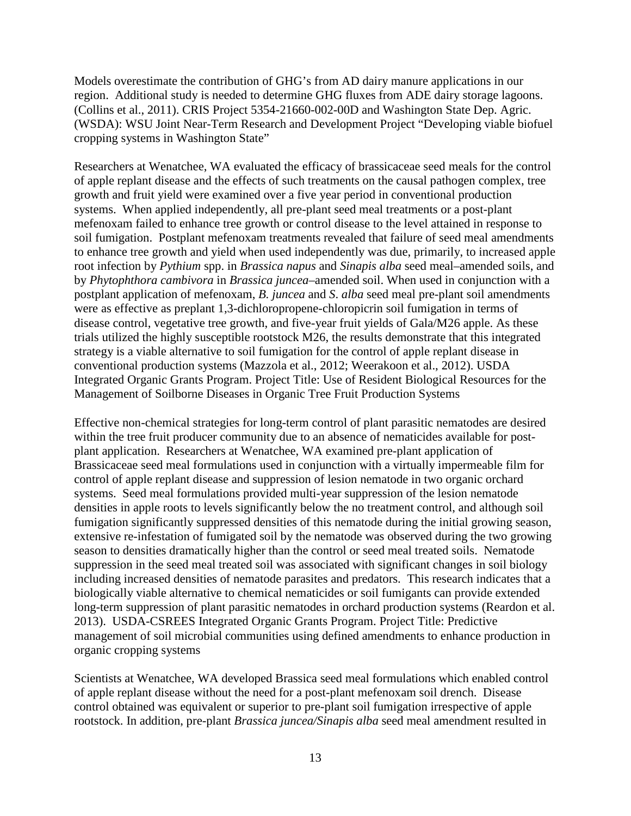Models overestimate the contribution of GHG's from AD dairy manure applications in our region. Additional study is needed to determine GHG fluxes from ADE dairy storage lagoons. (Collins et al., 2011). CRIS Project 5354-21660-002-00D and Washington State Dep. Agric. (WSDA): WSU Joint Near-Term Research and Development Project "Developing viable biofuel cropping systems in Washington State"

Researchers at Wenatchee, WA evaluated the efficacy of brassicaceae seed meals for the control of apple replant disease and the effects of such treatments on the causal pathogen complex, tree growth and fruit yield were examined over a five year period in conventional production systems. When applied independently, all pre-plant seed meal treatments or a post-plant mefenoxam failed to enhance tree growth or control disease to the level attained in response to soil fumigation. Postplant mefenoxam treatments revealed that failure of seed meal amendments to enhance tree growth and yield when used independently was due, primarily, to increased apple root infection by *Pythium* spp. in *Brassica napus* and *Sinapis alba* seed meal–amended soils, and by *Phytophthora cambivora* in *Brassica juncea*–amended soil. When used in conjunction with a postplant application of mefenoxam, *B. juncea* and *S*. *alba* seed meal pre-plant soil amendments were as effective as preplant 1,3-dichloropropene-chloropicrin soil fumigation in terms of disease control, vegetative tree growth, and five-year fruit yields of Gala/M26 apple. As these trials utilized the highly susceptible rootstock M26, the results demonstrate that this integrated strategy is a viable alternative to soil fumigation for the control of apple replant disease in conventional production systems (Mazzola et al., 2012; Weerakoon et al., 2012). USDA Integrated Organic Grants Program. Project Title: Use of Resident Biological Resources for the Management of Soilborne Diseases in Organic Tree Fruit Production Systems

Effective non-chemical strategies for long-term control of plant parasitic nematodes are desired within the tree fruit producer community due to an absence of nematicides available for postplant application. Researchers at Wenatchee, WA examined pre-plant application of Brassicaceae seed meal formulations used in conjunction with a virtually impermeable film for control of apple replant disease and suppression of lesion nematode in two organic orchard systems. Seed meal formulations provided multi-year suppression of the lesion nematode densities in apple roots to levels significantly below the no treatment control, and although soil fumigation significantly suppressed densities of this nematode during the initial growing season, extensive re-infestation of fumigated soil by the nematode was observed during the two growing season to densities dramatically higher than the control or seed meal treated soils. Nematode suppression in the seed meal treated soil was associated with significant changes in soil biology including increased densities of nematode parasites and predators. This research indicates that a biologically viable alternative to chemical nematicides or soil fumigants can provide extended long-term suppression of plant parasitic nematodes in orchard production systems (Reardon et al. 2013). USDA-CSREES Integrated Organic Grants Program. Project Title: Predictive management of soil microbial communities using defined amendments to enhance production in organic cropping systems

Scientists at Wenatchee, WA developed Brassica seed meal formulations which enabled control of apple replant disease without the need for a post-plant mefenoxam soil drench. Disease control obtained was equivalent or superior to pre-plant soil fumigation irrespective of apple rootstock. In addition, pre-plant *Brassica juncea/Sinapis alba* seed meal amendment resulted in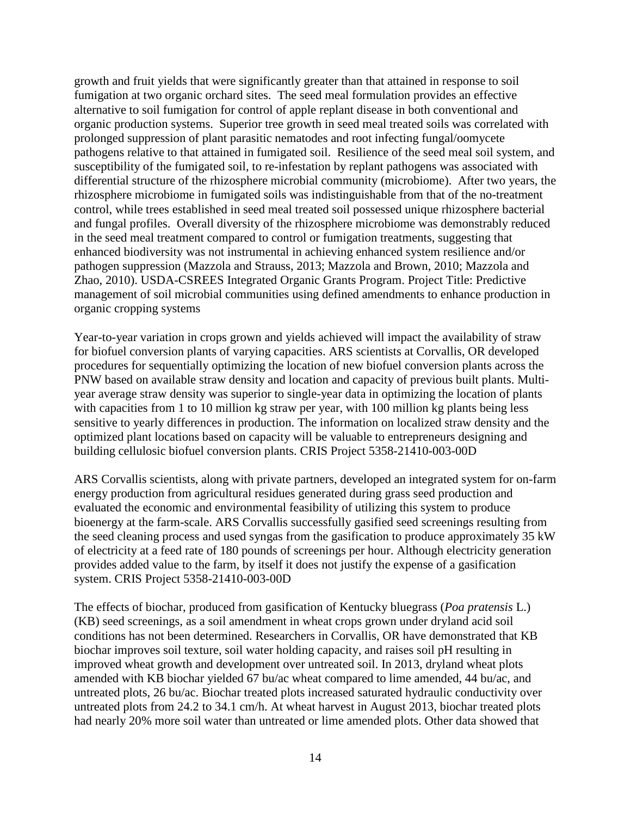growth and fruit yields that were significantly greater than that attained in response to soil fumigation at two organic orchard sites. The seed meal formulation provides an effective alternative to soil fumigation for control of apple replant disease in both conventional and organic production systems. Superior tree growth in seed meal treated soils was correlated with prolonged suppression of plant parasitic nematodes and root infecting fungal/oomycete pathogens relative to that attained in fumigated soil. Resilience of the seed meal soil system, and susceptibility of the fumigated soil, to re-infestation by replant pathogens was associated with differential structure of the rhizosphere microbial community (microbiome). After two years, the rhizosphere microbiome in fumigated soils was indistinguishable from that of the no-treatment control, while trees established in seed meal treated soil possessed unique rhizosphere bacterial and fungal profiles. Overall diversity of the rhizosphere microbiome was demonstrably reduced in the seed meal treatment compared to control or fumigation treatments, suggesting that enhanced biodiversity was not instrumental in achieving enhanced system resilience and/or pathogen suppression (Mazzola and Strauss, 2013; Mazzola and Brown, 2010; Mazzola and Zhao, 2010). USDA-CSREES Integrated Organic Grants Program. Project Title: Predictive management of soil microbial communities using defined amendments to enhance production in organic cropping systems

Year-to-year variation in crops grown and yields achieved will impact the availability of straw for biofuel conversion plants of varying capacities. ARS scientists at Corvallis, OR developed procedures for sequentially optimizing the location of new biofuel conversion plants across the PNW based on available straw density and location and capacity of previous built plants. Multiyear average straw density was superior to single-year data in optimizing the location of plants with capacities from 1 to 10 million kg straw per year, with 100 million kg plants being less sensitive to yearly differences in production. The information on localized straw density and the optimized plant locations based on capacity will be valuable to entrepreneurs designing and building cellulosic biofuel conversion plants. CRIS Project 5358-21410-003-00D

ARS Corvallis scientists, along with private partners, developed an integrated system for on-farm energy production from agricultural residues generated during grass seed production and evaluated the economic and environmental feasibility of utilizing this system to produce bioenergy at the farm-scale. ARS Corvallis successfully gasified seed screenings resulting from the seed cleaning process and used syngas from the gasification to produce approximately 35 kW of electricity at a feed rate of 180 pounds of screenings per hour. Although electricity generation provides added value to the farm, by itself it does not justify the expense of a gasification system. CRIS Project 5358-21410-003-00D

The effects of biochar, produced from gasification of Kentucky bluegrass (*Poa pratensis* L.) (KB) seed screenings, as a soil amendment in wheat crops grown under dryland acid soil conditions has not been determined. Researchers in Corvallis, OR have demonstrated that KB biochar improves soil texture, soil water holding capacity, and raises soil pH resulting in improved wheat growth and development over untreated soil. In 2013, dryland wheat plots amended with KB biochar yielded 67 bu/ac wheat compared to lime amended, 44 bu/ac, and untreated plots, 26 bu/ac. Biochar treated plots increased saturated hydraulic conductivity over untreated plots from 24.2 to 34.1 cm/h. At wheat harvest in August 2013, biochar treated plots had nearly 20% more soil water than untreated or lime amended plots. Other data showed that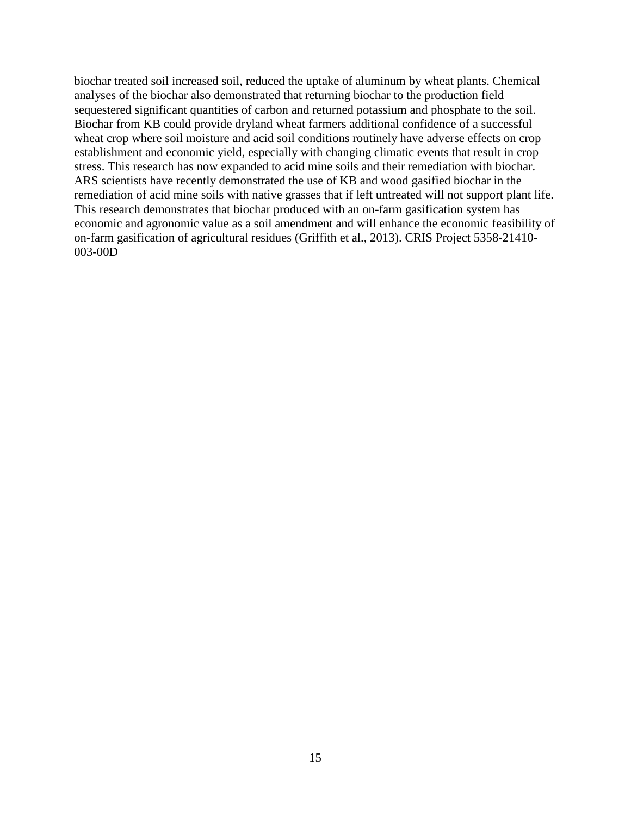biochar treated soil increased soil, reduced the uptake of aluminum by wheat plants. Chemical analyses of the biochar also demonstrated that returning biochar to the production field sequestered significant quantities of carbon and returned potassium and phosphate to the soil. Biochar from KB could provide dryland wheat farmers additional confidence of a successful wheat crop where soil moisture and acid soil conditions routinely have adverse effects on crop establishment and economic yield, especially with changing climatic events that result in crop stress. This research has now expanded to acid mine soils and their remediation with biochar. ARS scientists have recently demonstrated the use of KB and wood gasified biochar in the remediation of acid mine soils with native grasses that if left untreated will not support plant life. This research demonstrates that biochar produced with an on-farm gasification system has economic and agronomic value as a soil amendment and will enhance the economic feasibility of on-farm gasification of agricultural residues (Griffith et al., 2013). CRIS Project 5358-21410- 003-00D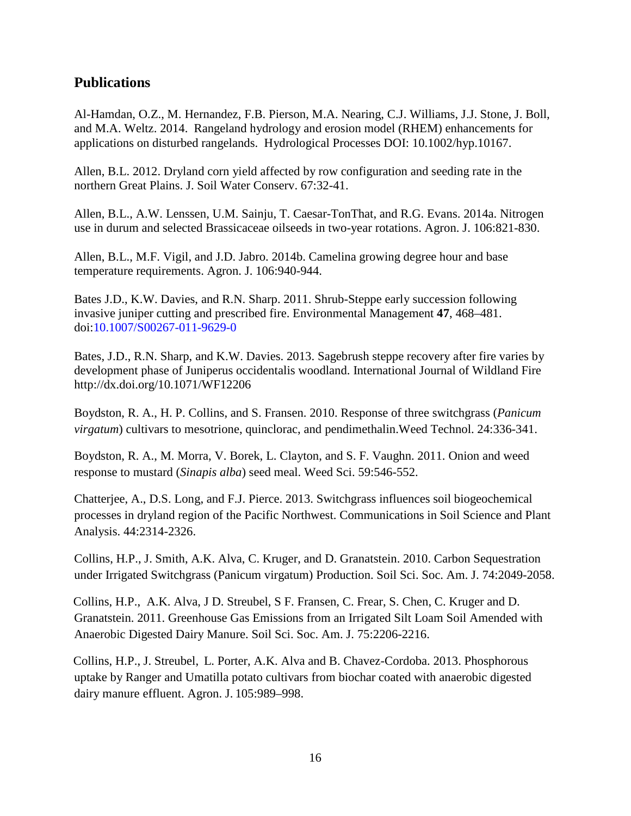## **Publications**

Al-Hamdan, O.Z., M. Hernandez, F.B. Pierson, M.A. Nearing, C.J. Williams, J.J. Stone, J. Boll, and M.A. Weltz. 2014. Rangeland hydrology and erosion model (RHEM) enhancements for applications on disturbed rangelands. Hydrological Processes DOI: 10.1002/hyp.10167.

Allen, B.L. 2012. Dryland corn yield affected by row configuration and seeding rate in the northern Great Plains. J. Soil Water Conserv. 67:32-41.

Allen, B.L., A.W. Lenssen, U.M. Sainju, T. Caesar-TonThat, and R.G. Evans. 2014a. Nitrogen use in durum and selected Brassicaceae oilseeds in two-year rotations. Agron. J. 106:821-830.

Allen, B.L., M.F. Vigil, and J.D. Jabro. 2014b. Camelina growing degree hour and base temperature requirements. Agron. J. 106:940-944.

Bates J.D., K.W. Davies, and R.N. Sharp. 2011. Shrub-Steppe early succession following invasive juniper cutting and prescribed fire. Environmental Management **47**, 468–481. doi:10.1007/S00267-011-9629-0

Bates, J.D., R.N. Sharp, and K.W. Davies. 2013. Sagebrush steppe recovery after fire varies by development phase of Juniperus occidentalis woodland. International Journal of Wildland Fire http://dx.doi.org/10.1071/WF12206

Boydston, R. A., H. P. Collins, and S. Fransen. 2010. Response of three switchgrass (*Panicum virgatum*) cultivars to mesotrione, quinclorac, and pendimethalin.Weed Technol. 24:336-341.

Boydston, R. A., M. Morra, V. Borek, L. Clayton, and S. F. Vaughn. 2011. Onion and weed response to mustard (*Sinapis alba*) seed meal. Weed Sci. 59:546-552.

Chatterjee, A., D.S. Long, and F.J. Pierce. 2013. Switchgrass influences soil biogeochemical processes in dryland region of the Pacific Northwest. Communications in Soil Science and Plant Analysis. 44:2314-2326.

Collins, H.P., J. Smith, A.K. Alva, C. Kruger, and D. Granatstein. 2010. Carbon Sequestration under Irrigated Switchgrass (Panicum virgatum) Production. Soil Sci. Soc. Am. J. 74:2049-2058.

Collins, H.P., A.K. Alva, J D. Streubel, S F. Fransen, C. Frear, S. Chen, C. Kruger and D. Granatstein. 2011. Greenhouse Gas Emissions from an Irrigated Silt Loam Soil Amended with Anaerobic Digested Dairy Manure. Soil Sci. Soc. Am. J. 75:2206-2216.

Collins, H.P., J. Streubel, L. Porter, A.K. Alva and B. Chavez-Cordoba. 2013. Phosphorous uptake by Ranger and Umatilla potato cultivars from biochar coated with anaerobic digested dairy manure effluent. Agron. J. 105:989–998.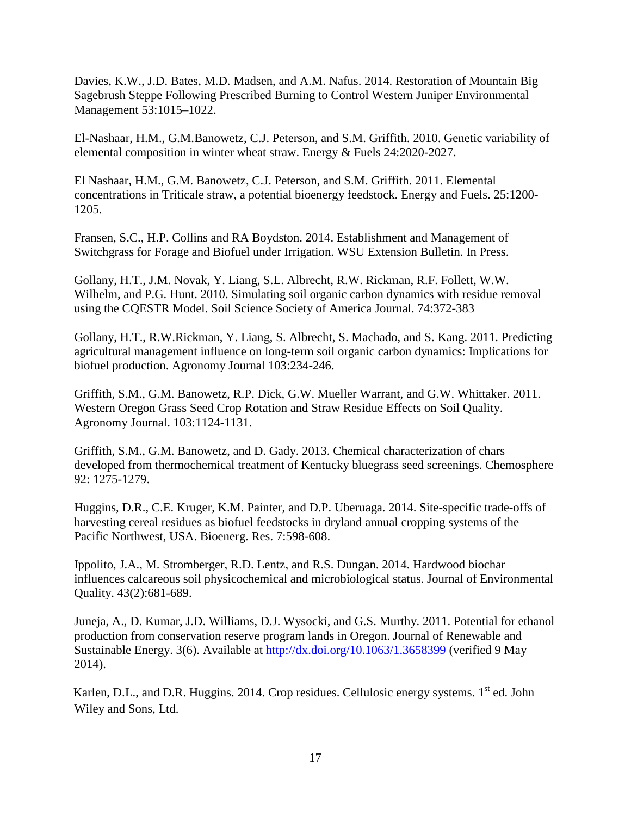Davies, K.W., J.D. Bates, M.D. Madsen, and A.M. Nafus. 2014. Restoration of Mountain Big Sagebrush Steppe Following Prescribed Burning to Control Western Juniper Environmental Management 53:1015–1022.

El-Nashaar, H.M., G.M.Banowetz, C.J. Peterson, and S.M. Griffith. 2010. Genetic variability of elemental composition in winter wheat straw. Energy & Fuels 24:2020-2027.

El Nashaar, H.M., G.M. Banowetz, C.J. Peterson, and S.M. Griffith. 2011. Elemental concentrations in Triticale straw, a potential bioenergy feedstock. Energy and Fuels. 25:1200- 1205.

Fransen, S.C., H.P. Collins and RA Boydston. 2014. Establishment and Management of Switchgrass for Forage and Biofuel under Irrigation. WSU Extension Bulletin. In Press.

Gollany, H.T., J.M. Novak, Y. Liang, S.L. Albrecht, R.W. Rickman, R.F. Follett, W.W. Wilhelm, and P.G. Hunt. 2010. Simulating soil organic carbon dynamics with residue removal using the CQESTR Model. Soil Science Society of America Journal. 74:372-383

Gollany, H.T., R.W.Rickman, Y. Liang, S. Albrecht, S. Machado, and S. Kang. 2011. Predicting agricultural management influence on long-term soil organic carbon dynamics: Implications for biofuel production. Agronomy Journal 103:234-246.

Griffith, S.M., G.M. Banowetz, R.P. Dick, G.W. Mueller Warrant, and G.W. Whittaker. 2011. Western Oregon Grass Seed Crop Rotation and Straw Residue Effects on Soil Quality. Agronomy Journal. 103:1124-1131.

Griffith, S.M., G.M. Banowetz, and D. Gady. 2013. Chemical characterization of chars developed from thermochemical treatment of Kentucky bluegrass seed screenings. Chemosphere 92: 1275-1279.

Huggins, D.R., C.E. Kruger, K.M. Painter, and D.P. Uberuaga. 2014. Site-specific trade-offs of harvesting cereal residues as biofuel feedstocks in dryland annual cropping systems of the Pacific Northwest, USA. Bioenerg. Res. 7:598-608.

Ippolito, J.A., M. Stromberger, R.D. Lentz, and R.S. Dungan. 2014. Hardwood biochar influences calcareous soil physicochemical and microbiological status. Journal of Environmental Quality. 43(2):681-689.

Juneja, A., D. Kumar, J.D. Williams, D.J. Wysocki, and G.S. Murthy. 2011. Potential for ethanol production from conservation reserve program lands in Oregon. Journal of Renewable and Sustainable Energy. 3(6). Available at<http://dx.doi.org/10.1063/1.3658399> (verified 9 May 2014).

Karlen, D.L., and D.R. Huggins. 2014. Crop residues. Cellulosic energy systems.  $1<sup>st</sup>$  ed. John Wiley and Sons, Ltd.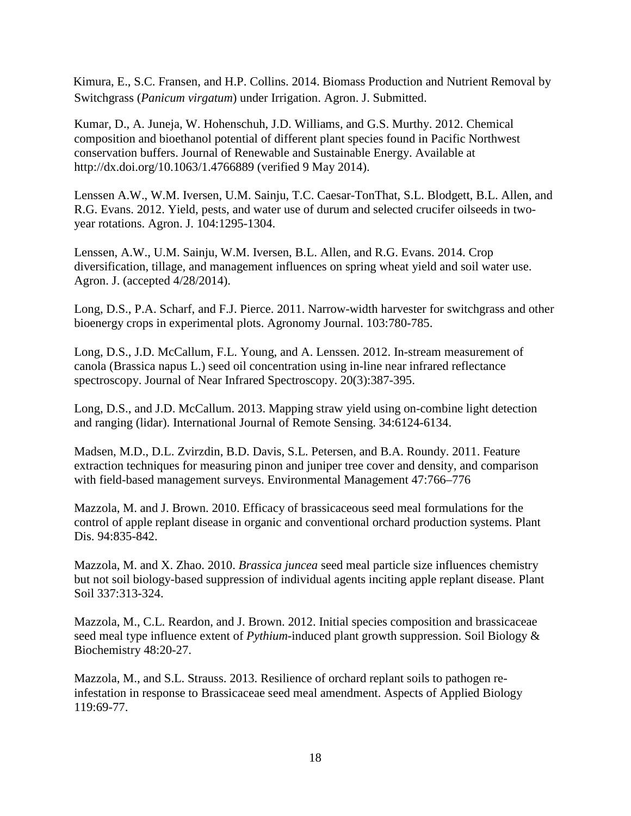Kimura, E., S.C. Fransen, and H.P. Collins. 2014. Biomass Production and Nutrient Removal by Switchgrass (*Panicum virgatum*) under Irrigation. Agron. J. Submitted.

Kumar, D., A. Juneja, W. Hohenschuh, J.D. Williams, and G.S. Murthy. 2012. Chemical composition and bioethanol potential of different plant species found in Pacific Northwest conservation buffers. Journal of Renewable and Sustainable Energy. Available at [http://dx.doi.org/10.1063/1.4766889](http://link.aip.org/link/doi/10.1063/1.4766889) (verified 9 May 2014).

Lenssen A.W., W.M. Iversen, U.M. Sainju, T.C. Caesar-TonThat, S.L. Blodgett, B.L. Allen, and R.G. Evans. 2012. Yield, pests, and water use of durum and selected crucifer oilseeds in twoyear rotations. Agron. J. 104:1295-1304.

Lenssen, A.W., U.M. Sainju, W.M. Iversen, B.L. Allen, and R.G. Evans. 2014. Crop diversification, tillage, and management influences on spring wheat yield and soil water use. Agron. J. (accepted 4/28/2014).

Long, D.S., P.A. Scharf, and F.J. Pierce. 2011. Narrow-width harvester for switchgrass and other bioenergy crops in experimental plots. Agronomy Journal. 103:780-785.

Long, D.S., J.D. McCallum, F.L. Young, and A. Lenssen. 2012. In-stream measurement of canola (Brassica napus L.) seed oil concentration using in-line near infrared reflectance spectroscopy. Journal of Near Infrared Spectroscopy. 20(3):387-395.

Long, D.S., and J.D. McCallum. 2013. Mapping straw yield using on-combine light detection and ranging (lidar). International Journal of Remote Sensing. 34:6124-6134.

Madsen, M.D., D.L. Zvirzdin, B.D. Davis, S.L. Petersen, and B.A. Roundy. 2011. Feature extraction techniques for measuring pinon and juniper tree cover and density, and comparison with field-based management surveys. Environmental Management 47:766–776

Mazzola, M. and J. Brown. 2010. Efficacy of brassicaceous seed meal formulations for the control of apple replant disease in organic and conventional orchard production systems. Plant Dis. 94:835-842.

Mazzola, M. and X. Zhao. 2010. *Brassica juncea* seed meal particle size influences chemistry but not soil biology-based suppression of individual agents inciting apple replant disease. Plant Soil 337:313-324.

Mazzola, M., C.L. Reardon, and J. Brown. 2012. Initial species composition and brassicaceae seed meal type influence extent of *Pythium*-induced plant growth suppression. Soil Biology & Biochemistry 48:20-27.

Mazzola, M., and S.L. Strauss. 2013. Resilience of orchard replant soils to pathogen reinfestation in response to Brassicaceae seed meal amendment. Aspects of Applied Biology 119:69-77.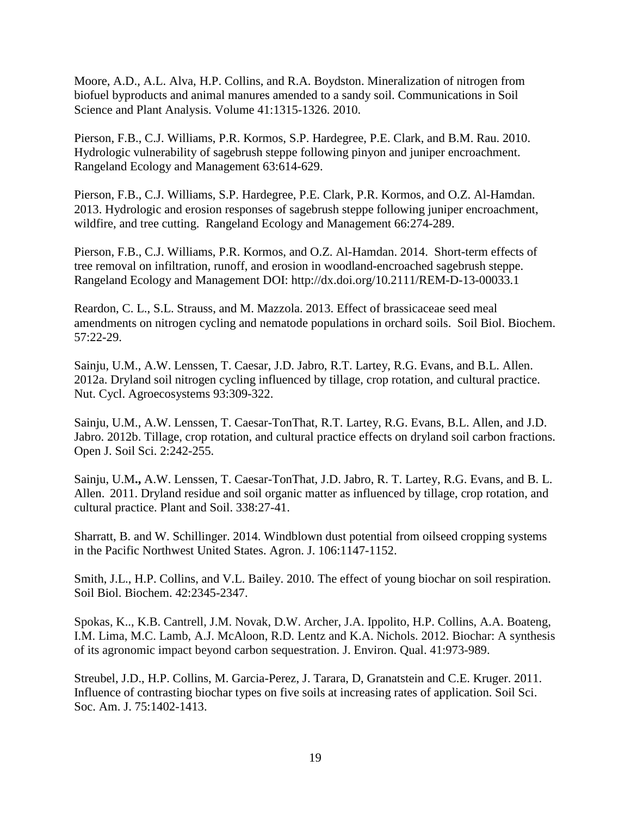Moore, A.D., A.L. Alva, H.P. Collins, and R.A. Boydston. Mineralization of nitrogen from biofuel byproducts and animal manures amended to a sandy soil. Communications in Soil Science and Plant Analysis. Volume 41:1315-1326. 2010.

Pierson, F.B., C.J. Williams, P.R. Kormos, S.P. Hardegree, P.E. Clark, and B.M. Rau. 2010. Hydrologic vulnerability of sagebrush steppe following pinyon and juniper encroachment. Rangeland Ecology and Management 63:614-629.

Pierson, F.B., C.J. Williams, S.P. Hardegree, P.E. Clark, P.R. Kormos, and O.Z. Al-Hamdan. 2013. Hydrologic and erosion responses of sagebrush steppe following juniper encroachment, wildfire, and tree cutting. Rangeland Ecology and Management 66:274-289.

Pierson, F.B., C.J. Williams, P.R. Kormos, and O.Z. Al-Hamdan. 2014. Short-term effects of tree removal on infiltration, runoff, and erosion in woodland-encroached sagebrush steppe. Rangeland Ecology and Management DOI: http://dx.doi.org/10.2111/REM-D-13-00033.1

Reardon, C. L., S.L. Strauss, and M. Mazzola. 2013. Effect of brassicaceae seed meal amendments on nitrogen cycling and nematode populations in orchard soils. Soil Biol. Biochem. 57:22-29.

Sainju, U.M., A.W. Lenssen, T. Caesar, J.D. Jabro, R.T. Lartey, R.G. Evans, and B.L. Allen. 2012a. Dryland soil nitrogen cycling influenced by tillage, crop rotation, and cultural practice. Nut. Cycl. Agroecosystems 93:309-322.

Sainju, U.M., A.W. Lenssen, T. Caesar-TonThat, R.T. Lartey, R.G. Evans, B.L. Allen, and J.D. Jabro. 2012b. Tillage, crop rotation, and cultural practice effects on dryland soil carbon fractions. Open J. Soil Sci. 2:242-255.

Sainju, U.M**.,** A.W. Lenssen, T. Caesar-TonThat, J.D. Jabro, R. T. Lartey, R.G. Evans, and B. L. Allen. 2011. Dryland residue and soil organic matter as influenced by tillage, crop rotation, and cultural practice. Plant and Soil. 338:27-41.

Sharratt, B. and W. Schillinger. 2014. Windblown dust potential from oilseed cropping systems in the Pacific Northwest United States. Agron. J. 106:1147-1152.

Smith, J.L., H.P. Collins, and V.L. Bailey. 2010. The effect of young biochar on soil respiration. Soil Biol. Biochem. 42:2345-2347.

Spokas, K.., K.B. Cantrell, J.M. Novak, D.W. Archer, J.A. Ippolito, H.P. Collins, A.A. Boateng, I.M. Lima, M.C. Lamb, A.J. McAloon, R.D. Lentz and K.A. Nichols. 2012. Biochar: A synthesis of its agronomic impact beyond carbon sequestration. J. Environ. Qual. 41:973-989.

Streubel, J.D., H.P. Collins, M. Garcia-Perez, J. Tarara, D, Granatstein and C.E. Kruger. 2011. Influence of contrasting biochar types on five soils at increasing rates of application. Soil Sci. Soc. Am. J. 75:1402-1413.